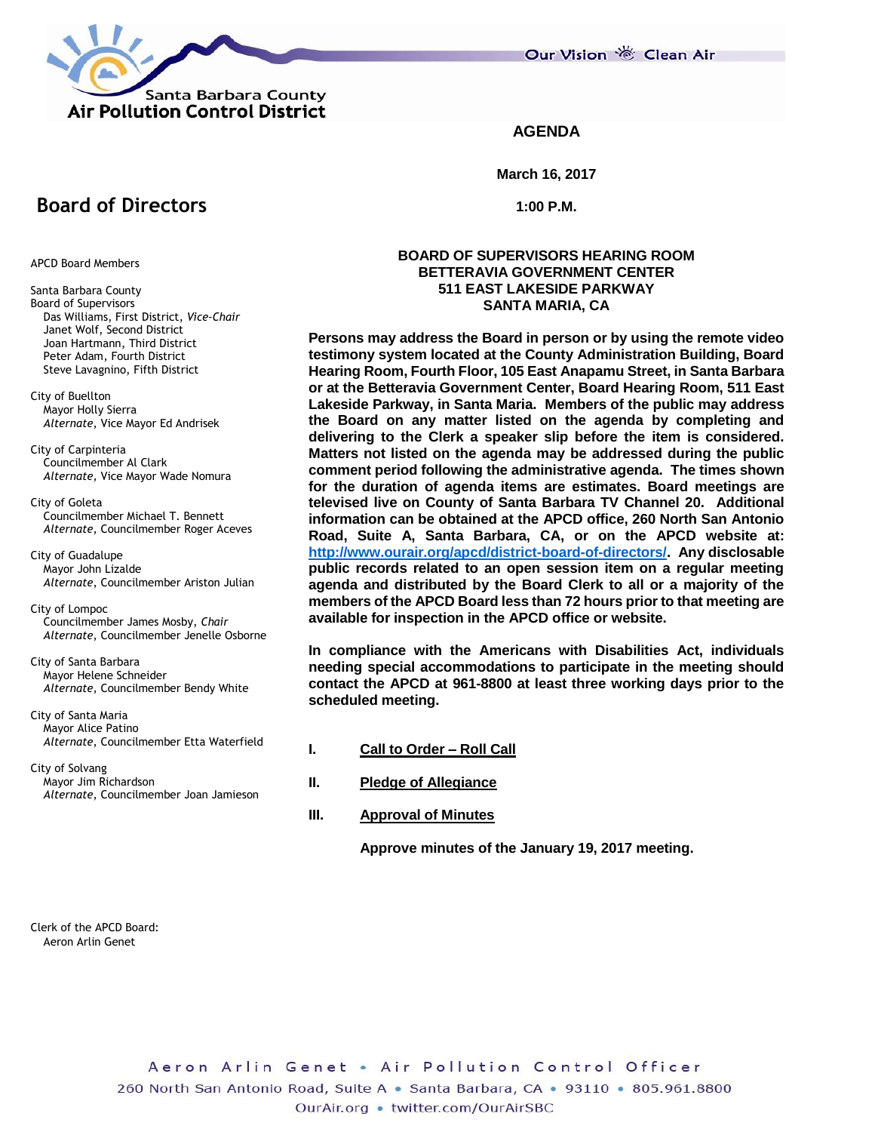

Our Vision 卷 Clean Air

**AGENDA**

**March 16, 2017**

**1:00 P.M.**

# **Board of Directors**

APCD Board Members

- Santa Barbara County Board of Supervisors Das Williams, First District, *Vice-Chair* Janet Wolf, Second District Joan Hartmann, Third District Peter Adam, Fourth District Steve Lavagnino, Fifth District
- City of Buellton Mayor Holly Sierra *Alternate*, Vice Mayor Ed Andrisek

City of Carpinteria Councilmember Al Clark *Alternate*, Vice Mayor Wade Nomura

City of Goleta Councilmember Michael T. Bennett *Alternate*, Councilmember Roger Aceves

City of Guadalupe Mayor John Lizalde *Alternate*, Councilmember Ariston Julian

City of Lompoc Councilmember James Mosby, *Chair Alternate*, Councilmember Jenelle Osborne

City of Santa Barbara Mayor Helene Schneider *Alternate*, Councilmember Bendy White

City of Santa Maria Mayor Alice Patino *Alternate*, Councilmember Etta Waterfield

City of Solvang Mayor Jim Richardson *Alternate*, Councilmember Joan Jamieson **BOARD OF SUPERVISORS HEARING ROOM BETTERAVIA GOVERNMENT CENTER 511 EAST LAKESIDE PARKWAY SANTA MARIA, CA**

**Persons may address the Board in person or by using the remote video testimony system located at the County Administration Building, Board Hearing Room, Fourth Floor, 105 East Anapamu Street, in Santa Barbara or at the Betteravia Government Center, Board Hearing Room, 511 East Lakeside Parkway, in Santa Maria. Members of the public may address the Board on any matter listed on the agenda by completing and delivering to the Clerk a speaker slip before the item is considered. Matters not listed on the agenda may be addressed during the public comment period following the administrative agenda. The times shown for the duration of agenda items are estimates. Board meetings are televised live on County of Santa Barbara TV Channel 20. Additional information can be obtained at the APCD office, 260 North San Antonio Road, Suite A, Santa Barbara, CA, or on the APCD website at: [http://www.ourair.org/apcd/district-board-of-directors/.](http://www.ourair.org/apcd/district-board-of-directors/) Any disclosable public records related to an open session item on a regular meeting agenda and distributed by the Board Clerk to all or a majority of the members of the APCD Board less than 72 hours prior to that meeting are available for inspection in the APCD office or website.**

**In compliance with the Americans with Disabilities Act, individuals needing special accommodations to participate in the meeting should contact the APCD at 961-8800 at least three working days prior to the scheduled meeting.**

- **I. Call to Order – Roll Call**
- **II. Pledge of Allegiance**
- **III. Approval of Minutes**

**Approve minutes of the January 19, 2017 meeting.**

Clerk of the APCD Board: Aeron Arlin Genet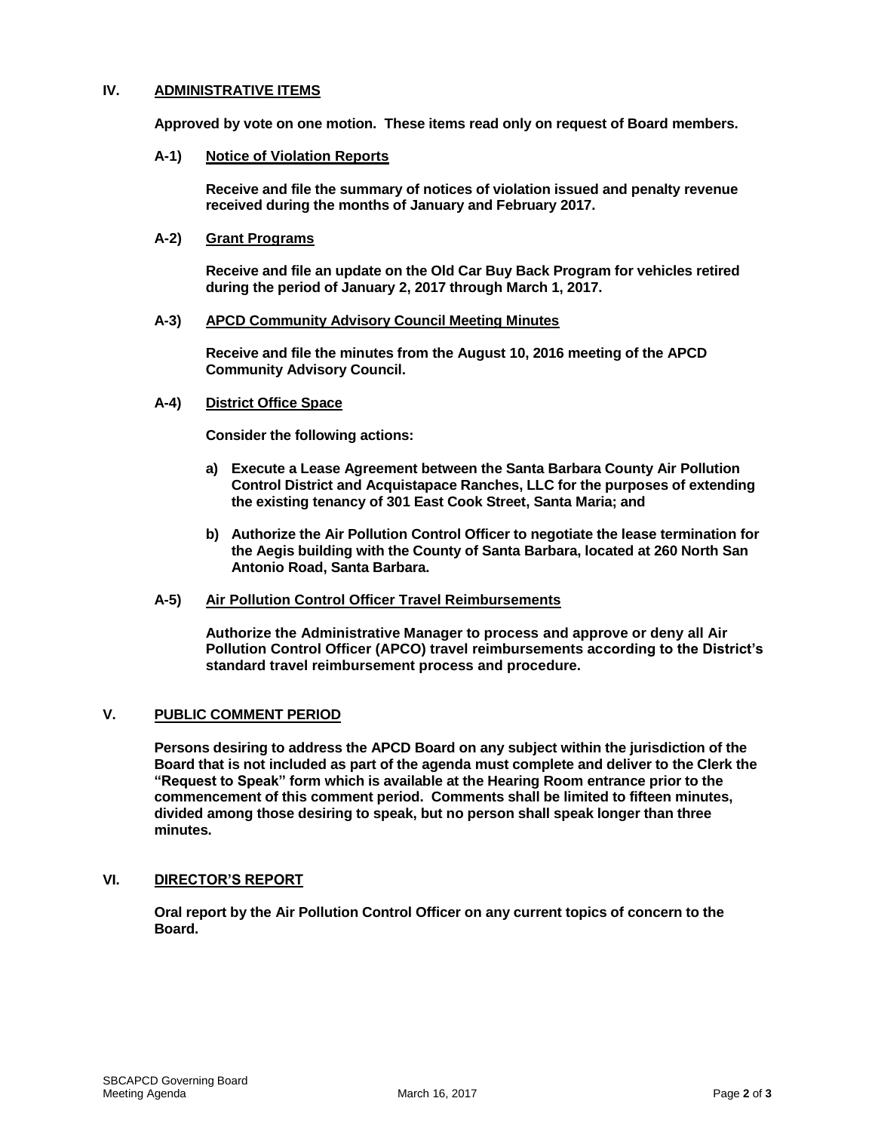# **IV. ADMINISTRATIVE ITEMS**

**Approved by vote on one motion. These items read only on request of Board members.**

#### **A-1) Notice of Violation Reports**

**Receive and file the summary of notices of violation issued and penalty revenue received during the months of January and February 2017.**

## **A-2) Grant Programs**

**Receive and file an update on the Old Car Buy Back Program for vehicles retired during the period of January 2, 2017 through March 1, 2017.**

#### **A-3) APCD Community Advisory Council Meeting Minutes**

**Receive and file the minutes from the August 10, 2016 meeting of the APCD Community Advisory Council.**

#### **A-4) District Office Space**

**Consider the following actions:**

- **a) Execute a Lease Agreement between the Santa Barbara County Air Pollution Control District and Acquistapace Ranches, LLC for the purposes of extending the existing tenancy of 301 East Cook Street, Santa Maria; and**
- **b) Authorize the Air Pollution Control Officer to negotiate the lease termination for the Aegis building with the County of Santa Barbara, located at 260 North San Antonio Road, Santa Barbara.**

## **A-5) Air Pollution Control Officer Travel Reimbursements**

**Authorize the Administrative Manager to process and approve or deny all Air Pollution Control Officer (APCO) travel reimbursements according to the District's standard travel reimbursement process and procedure.**

# **V. PUBLIC COMMENT PERIOD**

**Persons desiring to address the APCD Board on any subject within the jurisdiction of the Board that is not included as part of the agenda must complete and deliver to the Clerk the "Request to Speak" form which is available at the Hearing Room entrance prior to the commencement of this comment period. Comments shall be limited to fifteen minutes, divided among those desiring to speak, but no person shall speak longer than three minutes.**

## **VI. DIRECTOR'S REPORT**

**Oral report by the Air Pollution Control Officer on any current topics of concern to the Board.**